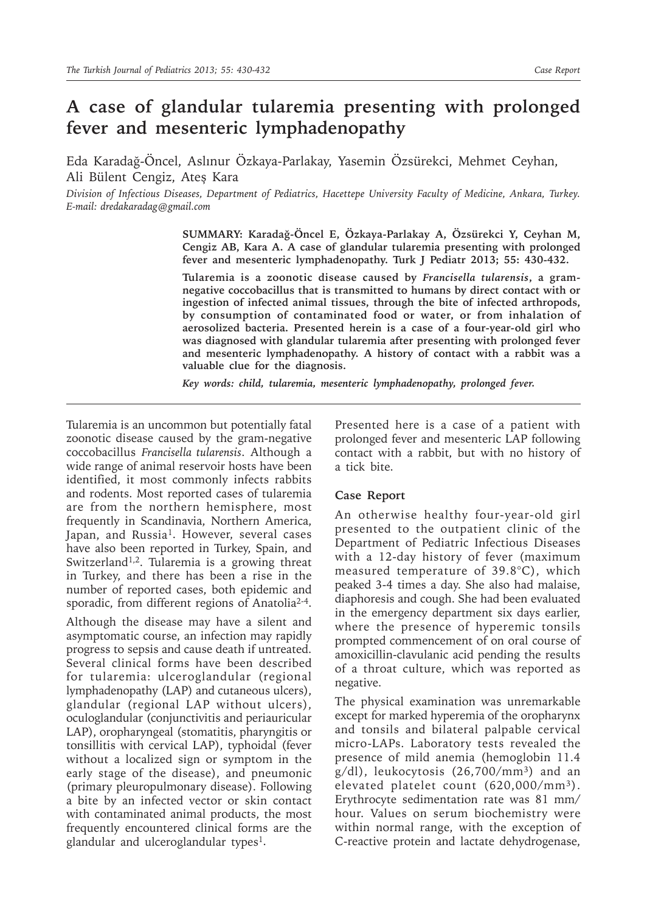## **A case of glandular tularemia presenting with prolonged fever and mesenteric lymphadenopathy**

Eda Karadağ-Öncel, Aslınur Özkaya-Parlakay, Yasemin Özsürekci, Mehmet Ceyhan, Ali Bülent Cengiz, Ateş Kara

*Division of Infectious Diseases, Department of Pediatrics, Hacettepe University Faculty of Medicine, Ankara, Turkey. E-mail: dredakaradag@gmail.com*

> **SUMMARY: Karadağ-Öncel E, Özkaya-Parlakay A, Özsürekci Y, Ceyhan M, Cengiz AB, Kara A. A case of glandular tularemia presenting with prolonged fever and mesenteric lymphadenopathy. Turk J Pediatr 2013; 55: 430-432.**

> **Tularemia is a zoonotic disease caused by** *Francisella tularensis***, a gramnegative coccobacillus that is transmitted to humans by direct contact with or ingestion of infected animal tissues, through the bite of infected arthropods, by consumption of contaminated food or water, or from inhalation of aerosolized bacteria. Presented herein is a case of a four-year-old girl who was diagnosed with glandular tularemia after presenting with prolonged fever and mesenteric lymphadenopathy. A history of contact with a rabbit was a valuable clue for the diagnosis.**

*Key words: child, tularemia, mesenteric lymphadenopathy, prolonged fever.*

Tularemia is an uncommon but potentially fatal zoonotic disease caused by the gram-negative coccobacillus *Francisella tularensis*. Although a wide range of animal reservoir hosts have been identified, it most commonly infects rabbits and rodents. Most reported cases of tularemia are from the northern hemisphere, most frequently in Scandinavia, Northern America, Japan, and Russia<sup>1</sup>. However, several cases have also been reported in Turkey, Spain, and Switzerland<sup>1,2</sup>. Tularemia is a growing threat in Turkey, and there has been a rise in the number of reported cases, both epidemic and sporadic, from different regions of Anatolia<sup>2-4</sup>.

Although the disease may have a silent and asymptomatic course, an infection may rapidly progress to sepsis and cause death if untreated. Several clinical forms have been described for tularemia: ulceroglandular (regional lymphadenopathy (LAP) and cutaneous ulcers), glandular (regional LAP without ulcers), oculoglandular (conjunctivitis and periauricular LAP), oropharyngeal (stomatitis, pharyngitis or tonsillitis with cervical LAP), typhoidal (fever without a localized sign or symptom in the early stage of the disease), and pneumonic (primary pleuropulmonary disease). Following a bite by an infected vector or skin contact with contaminated animal products, the most frequently encountered clinical forms are the glandular and ulceroglandular types<sup>1</sup>.

Presented here is a case of a patient with prolonged fever and mesenteric LAP following contact with a rabbit, but with no history of a tick bite.

## **Case Report**

An otherwise healthy four-year-old girl presented to the outpatient clinic of the Department of Pediatric Infectious Diseases with a 12-day history of fever (maximum measured temperature of 39.8°C), which peaked 3-4 times a day. She also had malaise, diaphoresis and cough. She had been evaluated in the emergency department six days earlier, where the presence of hyperemic tonsils prompted commencement of on oral course of amoxicillin-clavulanic acid pending the results of a throat culture, which was reported as negative.

The physical examination was unremarkable except for marked hyperemia of the oropharynx and tonsils and bilateral palpable cervical micro-LAPs. Laboratory tests revealed the presence of mild anemia (hemoglobin 11.4  $g/dl$ ), leukocytosis  $(26,700/mm^3)$  and an elevated platelet count (620,000/mm3). Erythrocyte sedimentation rate was 81 mm/ hour. Values on serum biochemistry were within normal range, with the exception of C-reactive protein and lactate dehydrogenase,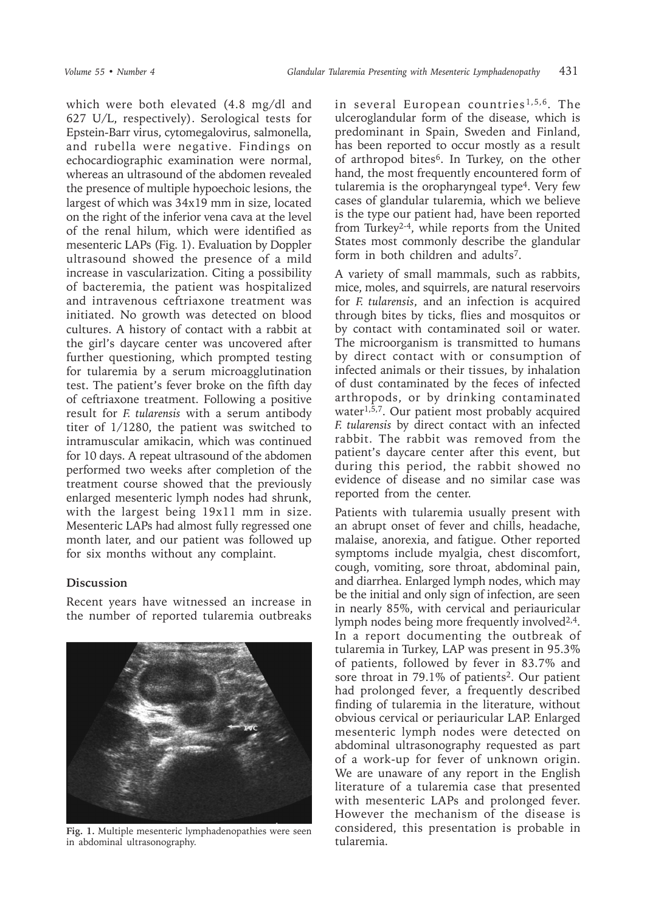which were both elevated (4.8 mg/dl and 627 U/L, respectively). Serological tests for Epstein-Barr virus, cytomegalovirus, salmonella, and rubella were negative. Findings on echocardiographic examination were normal, whereas an ultrasound of the abdomen revealed the presence of multiple hypoechoic lesions, the largest of which was 34x19 mm in size, located on the right of the inferior vena cava at the level of the renal hilum, which were identified as mesenteric LAPs (Fig. 1). Evaluation by Doppler ultrasound showed the presence of a mild increase in vascularization. Citing a possibility of bacteremia, the patient was hospitalized and intravenous ceftriaxone treatment was initiated. No growth was detected on blood cultures. A history of contact with a rabbit at the girl's daycare center was uncovered after further questioning, which prompted testing for tularemia by a serum microagglutination test. The patient's fever broke on the fifth day of ceftriaxone treatment. Following a positive result for *F. tularensis* with a serum antibody titer of 1/1280, the patient was switched to intramuscular amikacin, which was continued for 10 days. A repeat ultrasound of the abdomen performed two weeks after completion of the treatment course showed that the previously enlarged mesenteric lymph nodes had shrunk, with the largest being 19x11 mm in size. Mesenteric LAPs had almost fully regressed one month later, and our patient was followed up for six months without any complaint.

## **Discussion**

Recent years have witnessed an increase in the number of reported tularemia outbreaks



**Fig. 1.** Multiple mesenteric lymphadenopathies were seen in abdominal ultrasonography.

in several European countries1,5,6. The ulceroglandular form of the disease, which is predominant in Spain, Sweden and Finland, has been reported to occur mostly as a result of arthropod bites6. In Turkey, on the other hand, the most frequently encountered form of tularemia is the oropharyngeal type<sup>4</sup>. Very few cases of glandular tularemia, which we believe is the type our patient had, have been reported from Turkey2-4, while reports from the United States most commonly describe the glandular form in both children and adults7.

A variety of small mammals, such as rabbits, mice, moles, and squirrels, are natural reservoirs for *F. tularensis*, and an infection is acquired through bites by ticks, flies and mosquitos or by contact with contaminated soil or water. The microorganism is transmitted to humans by direct contact with or consumption of infected animals or their tissues, by inhalation of dust contaminated by the feces of infected arthropods, or by drinking contaminated water $1,5,7$ . Our patient most probably acquired *F. tularensis* by direct contact with an infected rabbit. The rabbit was removed from the patient's daycare center after this event, but during this period, the rabbit showed no evidence of disease and no similar case was reported from the center.

Patients with tularemia usually present with an abrupt onset of fever and chills, headache, malaise, anorexia, and fatigue. Other reported symptoms include myalgia, chest discomfort, cough, vomiting, sore throat, abdominal pain, and diarrhea. Enlarged lymph nodes, which may be the initial and only sign of infection, are seen in nearly 85%, with cervical and periauricular lymph nodes being more frequently involved<sup>2,4</sup>. In a report documenting the outbreak of tularemia in Turkey, LAP was present in 95.3% of patients, followed by fever in 83.7% and sore throat in 79.1% of patients<sup>2</sup>. Our patient had prolonged fever, a frequently described finding of tularemia in the literature, without obvious cervical or periauricular LAP. Enlarged mesenteric lymph nodes were detected on abdominal ultrasonography requested as part of a work-up for fever of unknown origin. We are unaware of any report in the English literature of a tularemia case that presented with mesenteric LAPs and prolonged fever. However the mechanism of the disease is considered, this presentation is probable in tularemia.